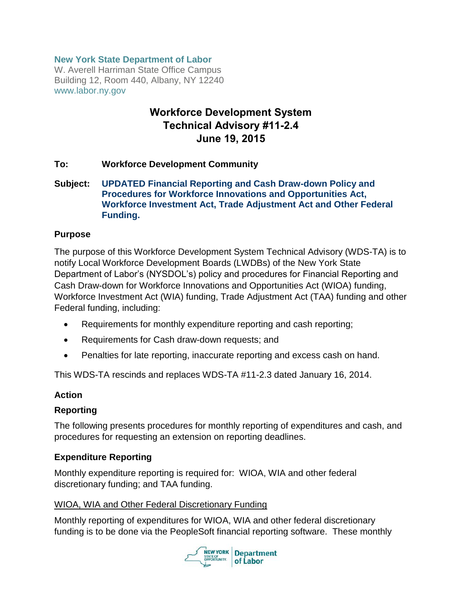#### **New York State Department of Labor**

W. Averell Harriman State Office Campus Building 12, Room 440, Albany, NY 12240 www.labor.ny.gov

# **Workforce Development System Technical Advisory #11-2.4 June 19, 2015**

#### **To: Workforce Development Community**

#### **Subject: UPDATED Financial Reporting and Cash Draw-down Policy and Procedures for Workforce Innovations and Opportunities Act, Workforce Investment Act, Trade Adjustment Act and Other Federal Funding.**

#### **Purpose**

The purpose of this Workforce Development System Technical Advisory (WDS-TA) is to notify Local Workforce Development Boards (LWDBs) of the New York State Department of Labor's (NYSDOL's) policy and procedures for Financial Reporting and Cash Draw-down for Workforce Innovations and Opportunities Act (WIOA) funding, Workforce Investment Act (WIA) funding, Trade Adjustment Act (TAA) funding and other Federal funding, including:

- Requirements for monthly expenditure reporting and cash reporting;
- Requirements for Cash draw-down requests; and
- Penalties for late reporting, inaccurate reporting and excess cash on hand.

This WDS-TA rescinds and replaces WDS-TA #11-2.3 dated January 16, 2014.

#### **Action**

#### **Reporting**

The following presents procedures for monthly reporting of expenditures and cash, and procedures for requesting an extension on reporting deadlines.

#### **Expenditure Reporting**

Monthly expenditure reporting is required for: WIOA, WIA and other federal discretionary funding; and TAA funding.

#### WIOA, WIA and Other Federal Discretionary Funding

Monthly reporting of expenditures for WIOA, WIA and other federal discretionary funding is to be done via the PeopleSoft financial reporting software. These monthly

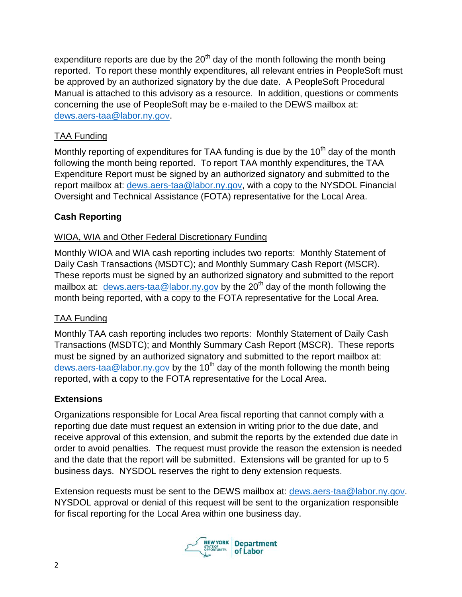expenditure reports are due by the  $20<sup>th</sup>$  day of the month following the month being reported. To report these monthly expenditures, all relevant entries in PeopleSoft must be approved by an authorized signatory by the due date. A PeopleSoft Procedural Manual is attached to this advisory as a resource. In addition, questions or comments concerning the use of PeopleSoft may be e-mailed to the DEWS mailbox at: [dews.aers-taa@labor.ny.gov.](mailto:dews.aers-taa@labor.ny.gov)

## TAA Funding

Monthly reporting of expenditures for TAA funding is due by the  $10<sup>th</sup>$  day of the month following the month being reported. To report TAA monthly expenditures, the TAA Expenditure Report must be signed by an authorized signatory and submitted to the report mailbox at: [dews.aers-taa@labor.ny.gov,](mailto:dews.aers-taa@labor.ny.gov) with a copy to the NYSDOL Financial Oversight and Technical Assistance (FOTA) representative for the Local Area.

## **Cash Reporting**

## WIOA, WIA and Other Federal Discretionary Funding

Monthly WIOA and WIA cash reporting includes two reports: Monthly Statement of Daily Cash Transactions (MSDTC); and Monthly Summary Cash Report (MSCR). These reports must be signed by an authorized signatory and submitted to the report mailbox at: [dews.aers-taa@labor.ny.gov](mailto:dews.aers-taa@labor.ny.gov) by the 20<sup>th</sup> day of the month following the month being reported, with a copy to the FOTA representative for the Local Area.

## TAA Funding

Monthly TAA cash reporting includes two reports: Monthly Statement of Daily Cash Transactions (MSDTC); and Monthly Summary Cash Report (MSCR). These reports must be signed by an authorized signatory and submitted to the report mailbox at: [dews.aers-taa@labor.ny.gov](mailto:dews.aers-taa@labor.ny.gov) by the 10<sup>th</sup> day of the month following the month being reported, with a copy to the FOTA representative for the Local Area.

## **Extensions**

Organizations responsible for Local Area fiscal reporting that cannot comply with a reporting due date must request an extension in writing prior to the due date, and receive approval of this extension, and submit the reports by the extended due date in order to avoid penalties. The request must provide the reason the extension is needed and the date that the report will be submitted. Extensions will be granted for up to 5 business days. NYSDOL reserves the right to deny extension requests.

Extension requests must be sent to the DEWS mailbox at: [dews.aers-taa@labor.ny.gov.](mailto:dews.aers-taa@labor.ny.gov) NYSDOL approval or denial of this request will be sent to the organization responsible for fiscal reporting for the Local Area within one business day.

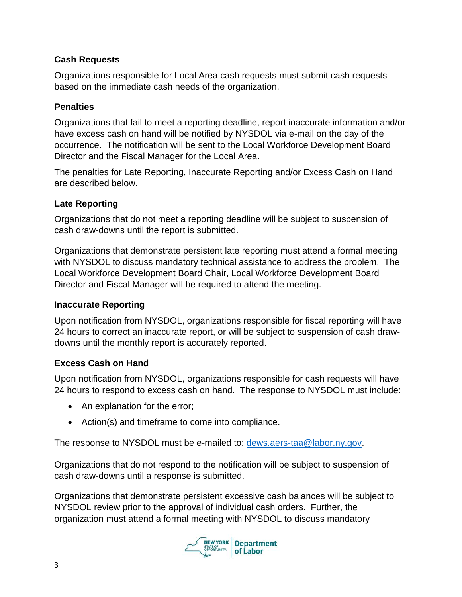### **Cash Requests**

Organizations responsible for Local Area cash requests must submit cash requests based on the immediate cash needs of the organization.

### **Penalties**

Organizations that fail to meet a reporting deadline, report inaccurate information and/or have excess cash on hand will be notified by NYSDOL via e-mail on the day of the occurrence. The notification will be sent to the Local Workforce Development Board Director and the Fiscal Manager for the Local Area.

The penalties for Late Reporting, Inaccurate Reporting and/or Excess Cash on Hand are described below.

## **Late Reporting**

Organizations that do not meet a reporting deadline will be subject to suspension of cash draw-downs until the report is submitted.

Organizations that demonstrate persistent late reporting must attend a formal meeting with NYSDOL to discuss mandatory technical assistance to address the problem. The Local Workforce Development Board Chair, Local Workforce Development Board Director and Fiscal Manager will be required to attend the meeting.

### **Inaccurate Reporting**

Upon notification from NYSDOL, organizations responsible for fiscal reporting will have 24 hours to correct an inaccurate report, or will be subject to suspension of cash drawdowns until the monthly report is accurately reported.

## **Excess Cash on Hand**

Upon notification from NYSDOL, organizations responsible for cash requests will have 24 hours to respond to excess cash on hand. The response to NYSDOL must include:

- An explanation for the error;
- Action(s) and timeframe to come into compliance.

The response to NYSDOL must be e-mailed to: [dews.aers-taa@labor.ny.gov.](mailto:dews.aers-taa@labor.ny.gov)

Organizations that do not respond to the notification will be subject to suspension of cash draw-downs until a response is submitted.

Organizations that demonstrate persistent excessive cash balances will be subject to NYSDOL review prior to the approval of individual cash orders. Further, the organization must attend a formal meeting with NYSDOL to discuss mandatory